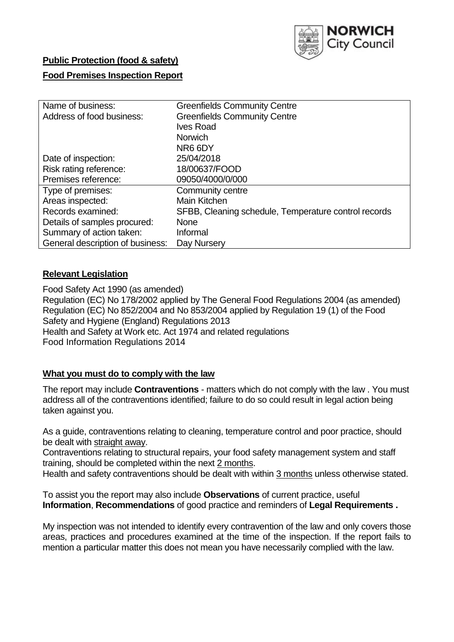

# **Public Protection (food & safety) Food Premises Inspection Report**

| Name of business:                | <b>Greenfields Community Centre</b>                  |  |  |  |  |
|----------------------------------|------------------------------------------------------|--|--|--|--|
| Address of food business:        | <b>Greenfields Community Centre</b>                  |  |  |  |  |
|                                  | <b>Ives Road</b>                                     |  |  |  |  |
|                                  | <b>Norwich</b>                                       |  |  |  |  |
|                                  | NR6 6DY                                              |  |  |  |  |
| Date of inspection:              | 25/04/2018                                           |  |  |  |  |
| Risk rating reference:           | 18/00637/FOOD                                        |  |  |  |  |
| Premises reference:              | 09050/4000/0/000                                     |  |  |  |  |
| Type of premises:                | Community centre                                     |  |  |  |  |
| Areas inspected:                 | <b>Main Kitchen</b>                                  |  |  |  |  |
| Records examined:                | SFBB, Cleaning schedule, Temperature control records |  |  |  |  |
| Details of samples procured:     | <b>None</b>                                          |  |  |  |  |
| Summary of action taken:         | Informal                                             |  |  |  |  |
| General description of business: | Day Nursery                                          |  |  |  |  |

### **Relevant Legislation**

Food Safety Act 1990 (as amended) Regulation (EC) No 178/2002 applied by The General Food Regulations 2004 (as amended) Regulation (EC) No 852/2004 and No 853/2004 applied by Regulation 19 (1) of the Food Safety and Hygiene (England) Regulations 2013 Health and Safety at Work etc. Act 1974 and related regulations Food Information Regulations 2014

### **What you must do to comply with the law**

The report may include **Contraventions** - matters which do not comply with the law . You must address all of the contraventions identified; failure to do so could result in legal action being taken against you.

As a guide, contraventions relating to cleaning, temperature control and poor practice, should be dealt with straight away.

Contraventions relating to structural repairs, your food safety management system and staff training, should be completed within the next 2 months.

Health and safety contraventions should be dealt with within 3 months unless otherwise stated.

To assist you the report may also include **Observations** of current practice, useful **Information**, **Recommendations** of good practice and reminders of **Legal Requirements .**

My inspection was not intended to identify every contravention of the law and only covers those areas, practices and procedures examined at the time of the inspection. If the report fails to mention a particular matter this does not mean you have necessarily complied with the law.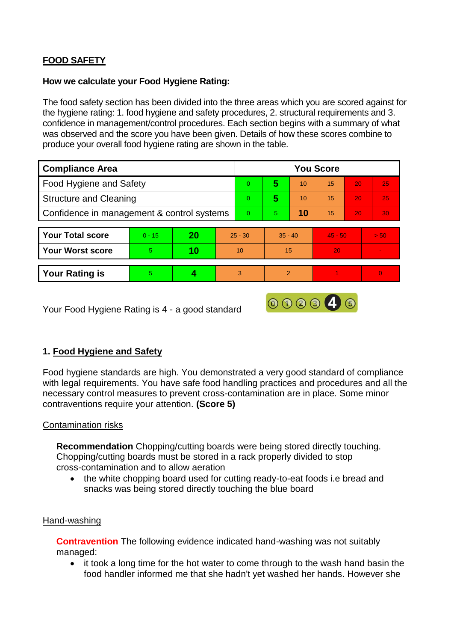# **FOOD SAFETY**

#### **How we calculate your Food Hygiene Rating:**

The food safety section has been divided into the three areas which you are scored against for the hygiene rating: 1. food hygiene and safety procedures, 2. structural requirements and 3. confidence in management/control procedures. Each section begins with a summary of what was observed and the score you have been given. Details of how these scores combine to produce your overall food hygiene rating are shown in the table.

| <b>Compliance Area</b>                     |          |           |           | <b>You Score</b> |                |    |           |    |                |  |  |
|--------------------------------------------|----------|-----------|-----------|------------------|----------------|----|-----------|----|----------------|--|--|
| Food Hygiene and Safety                    |          |           |           | $\overline{0}$   | 5              | 10 | 15        | 20 | 25             |  |  |
| <b>Structure and Cleaning</b>              |          |           |           | $\Omega$         | 5              | 10 | 15        | 20 | 25             |  |  |
| Confidence in management & control systems |          |           |           | $\Omega$         | 5              | 10 | 15        | 20 | 30             |  |  |
|                                            |          |           |           |                  |                |    |           |    |                |  |  |
| <b>Your Total score</b>                    | $0 - 15$ | <b>20</b> | $25 - 30$ |                  | $35 - 40$      |    | $45 - 50$ |    | > 50           |  |  |
| <b>Your Worst score</b>                    | 5        | 10        | 10        |                  | 15             |    | 20        |    | $\blacksquare$ |  |  |
|                                            |          |           |           |                  |                |    |           |    |                |  |  |
| <b>Your Rating is</b>                      | 5        |           | 3         |                  | $\overline{2}$ |    |           |    | $\overline{0}$ |  |  |

Your Food Hygiene Rating is 4 - a good standard

## **1. Food Hygiene and Safety**

Food hygiene standards are high. You demonstrated a very good standard of compliance with legal requirements. You have safe food handling practices and procedures and all the necessary control measures to prevent cross-contamination are in place. Some minor contraventions require your attention. **(Score 5)**

000040

### Contamination risks

**Recommendation** Chopping/cutting boards were being stored directly touching. Chopping/cutting boards must be stored in a rack properly divided to stop cross-contamination and to allow aeration

 the white chopping board used for cutting ready-to-eat foods i.e bread and snacks was being stored directly touching the blue board

### Hand-washing

**Contravention** The following evidence indicated hand-washing was not suitably managed:

 it took a long time for the hot water to come through to the wash hand basin the food handler informed me that she hadn't yet washed her hands. However she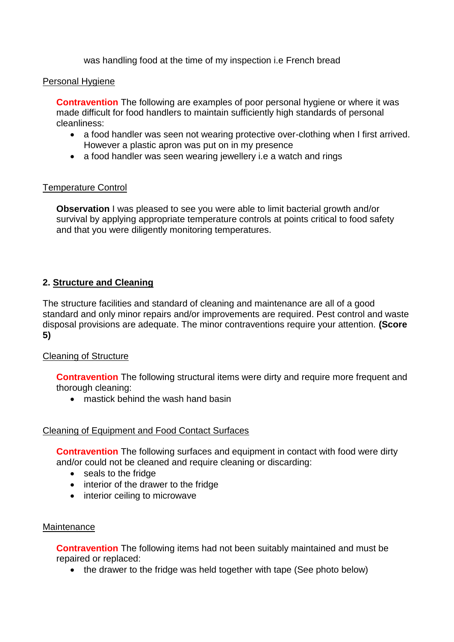was handling food at the time of my inspection i.e French bread

#### Personal Hygiene

**Contravention** The following are examples of poor personal hygiene or where it was made difficult for food handlers to maintain sufficiently high standards of personal cleanliness:

- a food handler was seen not wearing protective over-clothing when I first arrived. However a plastic apron was put on in my presence
- a food handler was seen wearing jewellery i.e a watch and rings

### Temperature Control

**Observation** I was pleased to see you were able to limit bacterial growth and/or survival by applying appropriate temperature controls at points critical to food safety and that you were diligently monitoring temperatures.

## **2. Structure and Cleaning**

The structure facilities and standard of cleaning and maintenance are all of a good standard and only minor repairs and/or improvements are required. Pest control and waste disposal provisions are adequate. The minor contraventions require your attention. **(Score 5)**

### Cleaning of Structure

**Contravention** The following structural items were dirty and require more frequent and thorough cleaning:

• mastick behind the wash hand basin

### Cleaning of Equipment and Food Contact Surfaces

**Contravention** The following surfaces and equipment in contact with food were dirty and/or could not be cleaned and require cleaning or discarding:

- seals to the fridge
- interior of the drawer to the fridge
- interior ceiling to microwave

### **Maintenance**

**Contravention** The following items had not been suitably maintained and must be repaired or replaced:

• the drawer to the fridge was held together with tape (See photo below)